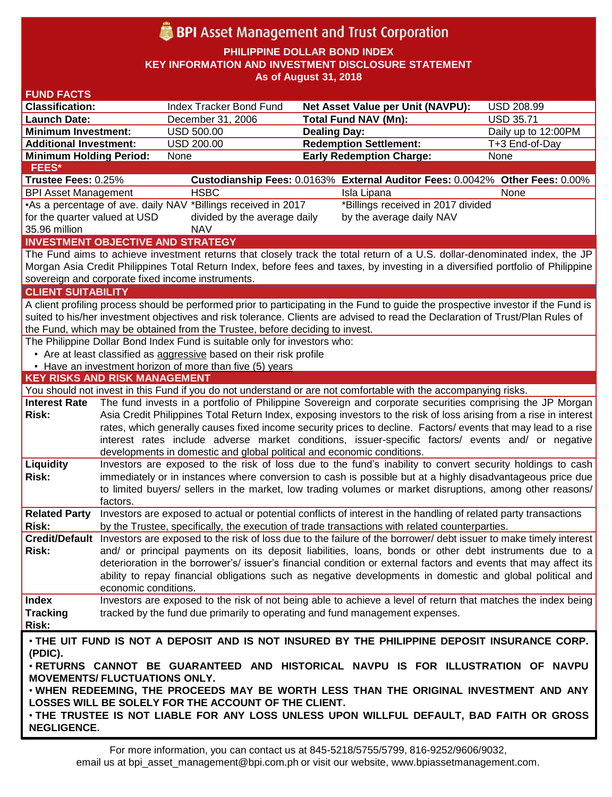# **BPI** Asset Management and Trust Corporation

**PHILIPPINE DOLLAR BOND INDEX**

**KEY INFORMATION AND INVESTMENT DISCLOSURE STATEMENT**

**As of August 31, 2018**

| <b>FUND FACTS</b>                                                                                                              |                                                                                                     |                                                                                                                                                                                                                         |                                                                                                                                                                                                                               |                     |  |  |  |  |
|--------------------------------------------------------------------------------------------------------------------------------|-----------------------------------------------------------------------------------------------------|-------------------------------------------------------------------------------------------------------------------------------------------------------------------------------------------------------------------------|-------------------------------------------------------------------------------------------------------------------------------------------------------------------------------------------------------------------------------|---------------------|--|--|--|--|
| <b>Classification:</b>                                                                                                         |                                                                                                     | Index Tracker Bond Fund                                                                                                                                                                                                 | Net Asset Value per Unit (NAVPU):                                                                                                                                                                                             | <b>USD 208.99</b>   |  |  |  |  |
| <b>Launch Date:</b>                                                                                                            |                                                                                                     | December 31, 2006                                                                                                                                                                                                       | <b>Total Fund NAV (Mn):</b>                                                                                                                                                                                                   | <b>USD 35.71</b>    |  |  |  |  |
| <b>Minimum Investment:</b>                                                                                                     |                                                                                                     | <b>USD 500.00</b>                                                                                                                                                                                                       | <b>Dealing Day:</b>                                                                                                                                                                                                           | Daily up to 12:00PM |  |  |  |  |
| <b>Additional Investment:</b>                                                                                                  |                                                                                                     | <b>USD 200.00</b>                                                                                                                                                                                                       | <b>Redemption Settlement:</b>                                                                                                                                                                                                 | T+3 End-of-Day      |  |  |  |  |
| <b>Minimum Holding Period:</b>                                                                                                 |                                                                                                     | None                                                                                                                                                                                                                    | <b>Early Redemption Charge:</b>                                                                                                                                                                                               | None                |  |  |  |  |
| <b>FEES*</b>                                                                                                                   |                                                                                                     |                                                                                                                                                                                                                         |                                                                                                                                                                                                                               |                     |  |  |  |  |
| Trustee Fees: 0.25%                                                                                                            |                                                                                                     |                                                                                                                                                                                                                         | Custodianship Fees: 0.0163% External Auditor Fees: 0.0042% Other Fees: 0.00%                                                                                                                                                  |                     |  |  |  |  |
| <b>BPI Asset Management</b>                                                                                                    |                                                                                                     | <b>HSBC</b>                                                                                                                                                                                                             | Isla Lipana                                                                                                                                                                                                                   | None                |  |  |  |  |
|                                                                                                                                | •As a percentage of ave. daily NAV *Billings received in 2017<br>*Billings received in 2017 divided |                                                                                                                                                                                                                         |                                                                                                                                                                                                                               |                     |  |  |  |  |
| for the quarter valued at USD                                                                                                  |                                                                                                     | divided by the average daily                                                                                                                                                                                            | by the average daily NAV                                                                                                                                                                                                      |                     |  |  |  |  |
| 35.96 million                                                                                                                  |                                                                                                     | <b>NAV</b>                                                                                                                                                                                                              |                                                                                                                                                                                                                               |                     |  |  |  |  |
|                                                                                                                                |                                                                                                     | <b>INVESTMENT OBJECTIVE AND STRATEGY</b>                                                                                                                                                                                |                                                                                                                                                                                                                               |                     |  |  |  |  |
|                                                                                                                                |                                                                                                     |                                                                                                                                                                                                                         | The Fund aims to achieve investment returns that closely track the total return of a U.S. dollar-denominated index, the JP                                                                                                    |                     |  |  |  |  |
|                                                                                                                                |                                                                                                     |                                                                                                                                                                                                                         | Morgan Asia Credit Philippines Total Return Index, before fees and taxes, by investing in a diversified portfolio of Philippine                                                                                               |                     |  |  |  |  |
|                                                                                                                                |                                                                                                     | sovereign and corporate fixed income instruments.                                                                                                                                                                       |                                                                                                                                                                                                                               |                     |  |  |  |  |
| <b>CLIENT SUITABILITY</b>                                                                                                      |                                                                                                     |                                                                                                                                                                                                                         |                                                                                                                                                                                                                               |                     |  |  |  |  |
|                                                                                                                                |                                                                                                     |                                                                                                                                                                                                                         | A client profiling process should be performed prior to participating in the Fund to guide the prospective investor if the Fund is                                                                                            |                     |  |  |  |  |
| suited to his/her investment objectives and risk tolerance. Clients are advised to read the Declaration of Trust/Plan Rules of |                                                                                                     |                                                                                                                                                                                                                         |                                                                                                                                                                                                                               |                     |  |  |  |  |
| the Fund, which may be obtained from the Trustee, before deciding to invest.                                                   |                                                                                                     |                                                                                                                                                                                                                         |                                                                                                                                                                                                                               |                     |  |  |  |  |
| The Philippine Dollar Bond Index Fund is suitable only for investors who:                                                      |                                                                                                     |                                                                                                                                                                                                                         |                                                                                                                                                                                                                               |                     |  |  |  |  |
|                                                                                                                                |                                                                                                     | • Are at least classified as aggressive based on their risk profile                                                                                                                                                     |                                                                                                                                                                                                                               |                     |  |  |  |  |
|                                                                                                                                |                                                                                                     | • Have an investment horizon of more than five (5) years                                                                                                                                                                |                                                                                                                                                                                                                               |                     |  |  |  |  |
| <b>KEY RISKS AND RISK MANAGEMENT</b>                                                                                           |                                                                                                     |                                                                                                                                                                                                                         |                                                                                                                                                                                                                               |                     |  |  |  |  |
|                                                                                                                                |                                                                                                     |                                                                                                                                                                                                                         | You should not invest in this Fund if you do not understand or are not comfortable with the accompanying risks.                                                                                                               |                     |  |  |  |  |
| <b>Interest Rate</b>                                                                                                           |                                                                                                     |                                                                                                                                                                                                                         | The fund invests in a portfolio of Philippine Sovereign and corporate securities comprising the JP Morgan                                                                                                                     |                     |  |  |  |  |
| <b>Risk:</b>                                                                                                                   |                                                                                                     | Asia Credit Philippines Total Return Index, exposing investors to the risk of loss arising from a rise in interest                                                                                                      |                                                                                                                                                                                                                               |                     |  |  |  |  |
|                                                                                                                                |                                                                                                     |                                                                                                                                                                                                                         | rates, which generally causes fixed income security prices to decline. Factors/ events that may lead to a rise                                                                                                                |                     |  |  |  |  |
|                                                                                                                                |                                                                                                     |                                                                                                                                                                                                                         | interest rates include adverse market conditions, issuer-specific factors/ events and/ or negative                                                                                                                            |                     |  |  |  |  |
|                                                                                                                                |                                                                                                     | developments in domestic and global political and economic conditions.                                                                                                                                                  |                                                                                                                                                                                                                               |                     |  |  |  |  |
| Liquidity                                                                                                                      |                                                                                                     |                                                                                                                                                                                                                         | Investors are exposed to the risk of loss due to the fund's inability to convert security holdings to cash                                                                                                                    |                     |  |  |  |  |
| <b>Risk:</b>                                                                                                                   |                                                                                                     | immediately or in instances where conversion to cash is possible but at a highly disadvantageous price due<br>to limited buyers/ sellers in the market, low trading volumes or market disruptions, among other reasons/ |                                                                                                                                                                                                                               |                     |  |  |  |  |
|                                                                                                                                |                                                                                                     |                                                                                                                                                                                                                         |                                                                                                                                                                                                                               |                     |  |  |  |  |
|                                                                                                                                | factors.                                                                                            |                                                                                                                                                                                                                         |                                                                                                                                                                                                                               |                     |  |  |  |  |
| <b>Related Party</b><br>Risk:                                                                                                  |                                                                                                     |                                                                                                                                                                                                                         | Investors are exposed to actual or potential conflicts of interest in the handling of related party transactions                                                                                                              |                     |  |  |  |  |
|                                                                                                                                |                                                                                                     |                                                                                                                                                                                                                         | by the Trustee, specifically, the execution of trade transactions with related counterparties.                                                                                                                                |                     |  |  |  |  |
|                                                                                                                                |                                                                                                     |                                                                                                                                                                                                                         | Credit/Default Investors are exposed to the risk of loss due to the failure of the borrower/ debt issuer to make timely interest                                                                                              |                     |  |  |  |  |
| Risk:                                                                                                                          |                                                                                                     |                                                                                                                                                                                                                         | and/ or principal payments on its deposit liabilities, loans, bonds or other debt instruments due to a                                                                                                                        |                     |  |  |  |  |
|                                                                                                                                |                                                                                                     |                                                                                                                                                                                                                         | deterioration in the borrower's/ issuer's financial condition or external factors and events that may affect its<br>ability to repay financial obligations such as negative developments in domestic and global political and |                     |  |  |  |  |
|                                                                                                                                | economic conditions.                                                                                |                                                                                                                                                                                                                         |                                                                                                                                                                                                                               |                     |  |  |  |  |
| <b>Index</b>                                                                                                                   |                                                                                                     |                                                                                                                                                                                                                         | Investors are exposed to the risk of not being able to achieve a level of return that matches the index being                                                                                                                 |                     |  |  |  |  |
| <b>Tracking</b>                                                                                                                |                                                                                                     |                                                                                                                                                                                                                         | tracked by the fund due primarily to operating and fund management expenses.                                                                                                                                                  |                     |  |  |  |  |
| Risk:                                                                                                                          |                                                                                                     |                                                                                                                                                                                                                         |                                                                                                                                                                                                                               |                     |  |  |  |  |
|                                                                                                                                |                                                                                                     |                                                                                                                                                                                                                         |                                                                                                                                                                                                                               |                     |  |  |  |  |
| . THE UIT FUND IS NOT A DEPOSIT AND IS NOT INSURED BY THE PHILIPPINE DEPOSIT INSURANCE CORP.                                   |                                                                                                     |                                                                                                                                                                                                                         |                                                                                                                                                                                                                               |                     |  |  |  |  |
| (PDIC).                                                                                                                        |                                                                                                     |                                                                                                                                                                                                                         |                                                                                                                                                                                                                               |                     |  |  |  |  |
| . RETURNS CANNOT BE GUARANTEED AND HISTORICAL NAVPU IS FOR ILLUSTRATION OF NAVPU                                               |                                                                                                     |                                                                                                                                                                                                                         |                                                                                                                                                                                                                               |                     |  |  |  |  |
| <b>MOVEMENTS/ FLUCTUATIONS ONLY.</b><br>. WHEN REDEEMING, THE PROCEEDS MAY BE WORTH LESS THAN THE ORIGINAL INVESTMENT AND ANY  |                                                                                                     |                                                                                                                                                                                                                         |                                                                                                                                                                                                                               |                     |  |  |  |  |
|                                                                                                                                |                                                                                                     |                                                                                                                                                                                                                         |                                                                                                                                                                                                                               |                     |  |  |  |  |
|                                                                                                                                |                                                                                                     | LOSSES WILL BE SOLELY FOR THE ACCOUNT OF THE CLIENT.                                                                                                                                                                    |                                                                                                                                                                                                                               |                     |  |  |  |  |
| . THE TRUSTEE IS NOT LIABLE FOR ANY LOSS UNLESS UPON WILLFUL DEFAULT, BAD FAITH OR GROSS                                       |                                                                                                     |                                                                                                                                                                                                                         |                                                                                                                                                                                                                               |                     |  |  |  |  |
| <b>NEGLIGENCE.</b>                                                                                                             |                                                                                                     |                                                                                                                                                                                                                         |                                                                                                                                                                                                                               |                     |  |  |  |  |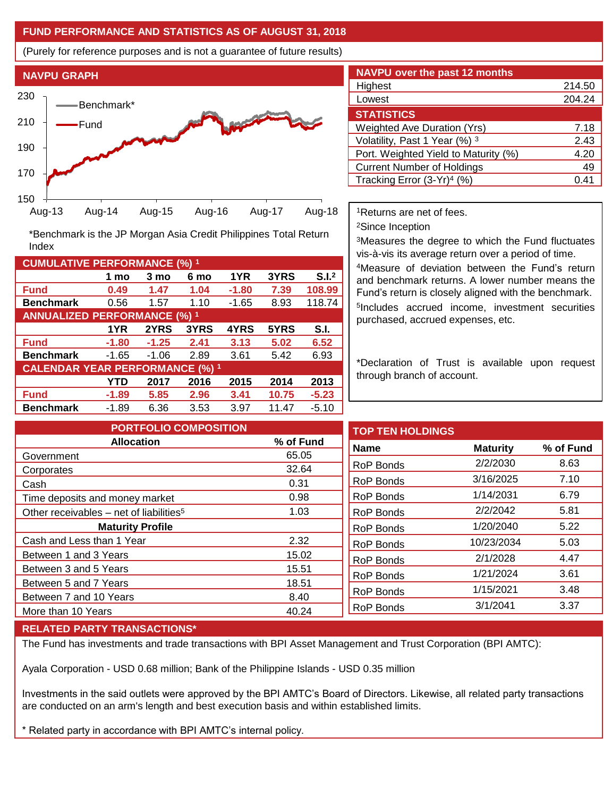### **FUND PERFORMANCE AND STATISTICS AS OF AUGUST 31, 2018**

(Purely for reference purposes and is not a guarantee of future results)



**Fund 0.49 1.47 1.04 -1.80 7.39 108.99 Benchmark** 0.56 1.57 1.10 -1.65 8.93 118.74

\*Benchmark is the JP Morgan Asia Credit Philippines Total Return

**Fund -1.80 -1.25 2.41 3.13 5.02 6.52 Benchmark** -1.65 -1.06 2.89 3.61 5.42 6.93

**Fund -1.89 5.85 2.96 3.41 10.75 -5.23 Benchmark** -1.89 6.36 3.53 3.97 11.47 -5.10

**1 mo 3 mo 6 mo 1YR 3YRS S.I.<sup>2</sup>**

**1YR 2YRS 3YRS 4YRS 5YRS S.I.**

**YTD 2017 2016 2015 2014 2013**

| <b>NAVPU over the past 12 months</b>   |        |  |  |  |  |
|----------------------------------------|--------|--|--|--|--|
| Highest                                | 214.50 |  |  |  |  |
| Lowest                                 | 204.24 |  |  |  |  |
| <b>STATISTICS</b>                      |        |  |  |  |  |
| <b>Weighted Ave Duration (Yrs)</b>     | 7.18   |  |  |  |  |
| Volatility, Past 1 Year (%) 3          | 2.43   |  |  |  |  |
| Port. Weighted Yield to Maturity (%)   | 4.20   |  |  |  |  |
| <b>Current Number of Holdings</b>      | 49     |  |  |  |  |
| Tracking Error (3-Yr) <sup>4</sup> (%) | 0.41   |  |  |  |  |

<sup>1</sup>Returns are net of fees.

<sup>2</sup>Since Inception

<sup>3</sup>Measures the degree to which the Fund fluctuates vis-à-vis its average return over a period of time.

<sup>4</sup>Measure of deviation between the Fund's return and benchmark returns. A lower number means the Fund's return is closely aligned with the benchmark. 5 Includes accrued income, investment securities purchased, accrued expenses, etc.

\*Declaration of Trust is available upon request through branch of account.

| <b>PORTFOLIO COMPOSITION</b>                                          |                        | <b>TOP TEN HOLDINGS</b>                                  |                                    |           |
|-----------------------------------------------------------------------|------------------------|----------------------------------------------------------|------------------------------------|-----------|
| <b>Allocation</b>                                                     | % of Fund              | <b>Name</b>                                              | <b>Maturity</b>                    | % of Fund |
| Government                                                            | 65.05                  |                                                          |                                    |           |
| Corporates                                                            | 32.64                  | RoP Bonds                                                | 2/2/2030                           | 8.63      |
| Cash                                                                  | 0.31                   | RoP Bonds                                                | 3/16/2025                          | 7.10      |
| Time deposits and money market                                        | 0.98                   | RoP Bonds                                                | 1/14/2031                          | 6.79      |
| Other receivables – net of liabilities <sup>5</sup>                   | 1.03                   | RoP Bonds                                                | 2/2/2042                           | 5.81      |
| <b>Maturity Profile</b>                                               |                        | RoP Bonds                                                | 1/20/2040                          | 5.22      |
| Cash and Less than 1 Year                                             | 2.32                   |                                                          | 10/23/2034                         | 5.03      |
| Between 1 and 3 Years                                                 | 15.02                  |                                                          |                                    | 4.47      |
| Between 3 and 5 Years                                                 | 15.51                  |                                                          |                                    | 3.61      |
|                                                                       |                        |                                                          |                                    |           |
|                                                                       |                        | <b>RoP Bonds</b>                                         |                                    | 3.48      |
|                                                                       |                        | <b>RoP Bonds</b>                                         | 3/1/2041                           | 3.37      |
| Between 5 and 7 Years<br>Between 7 and 10 Years<br>More than 10 Years | 18.51<br>8.40<br>40.24 | <b>RoP Bonds</b><br><b>RoP Bonds</b><br><b>RoP Bonds</b> | 2/1/2028<br>1/21/2024<br>1/15/2021 |           |

#### **RELATED PARTY TRANSACTIONS\***

**CUMULATIVE PERFORMANCE (%) <sup>1</sup>**

Index

**ANNUALIZED PERFORMANCE (%) <sup>1</sup>**

**CALENDAR YEAR PERFORMANCE (%) <sup>1</sup>**

The Fund has investments and trade transactions with BPI Asset Management and Trust Corporation (BPI AMTC):

Ayala Corporation - USD 0.68 million; Bank of the Philippine Islands - USD 0.35 million

Investments in the said outlets were approved by the BPI AMTC's Board of Directors. Likewise, all related party transactions are conducted on an arm's length and best execution basis and within established limits.

\* Related party in accordance with BPI AMTC's internal policy.